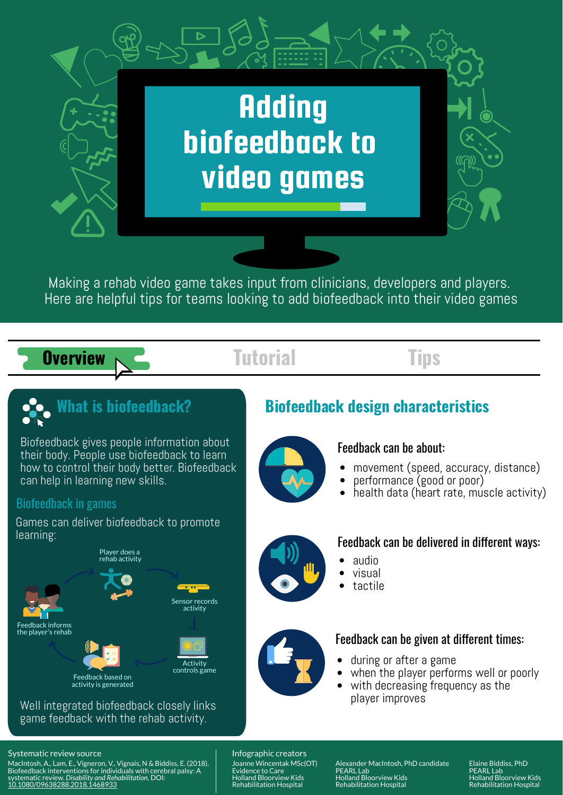

Making a rehab video game takes input from clinicians, developers and players. Here are helpful tips for teams looking to add biofeedback into their video games

- movement (speed, accuracy, distance)
- performance (good or poor)
- health data (heart rate, muscle activity)  $\bullet$



Biofeedback gives people information about their body. People use biofeedback to learn how to control their body better. Biofeedback can help in learning new skills.



## Biofeedback in games

Games can deliver biofeedback to promote learning:

# Feedback can be about:

- audio
- visual
- tactile

## Feedback can be delivered in different ways:

- during or after a game
- when the player performs well or poorly
- with decreasing frequency as the player improves

## [Systematic](https://doi.org/10.1080/09638288.2018.1468933) review source **Infographic creators**

# Feedback can be given at different times:

MacIntosh, A., Lam, E., Vigneron, V., Vignais, N & Biddiss, E. (2018). Biofeedback interventions for individuals with cerebral palsy: A systematic review. *Disability and Rehabilitation,* DOI: 10.1080/09638288.2018.1468933

Joanne Wincentak MSc(OT) Evidence to Care Holland Bloorview Kids Rehabilitation Hospital

Alexander MacIntosh, PhD candidate PEARL Lab Holland Bloorview Kids Rehabilitation Hospital

## Elaine Biddiss, PhD PEARL Lab Holland Bloorview Kids Rehabilitation Hospital

## Well integrated biofeedback closely links game feedback with the rehab activity.







Feedback based on

activity is generated